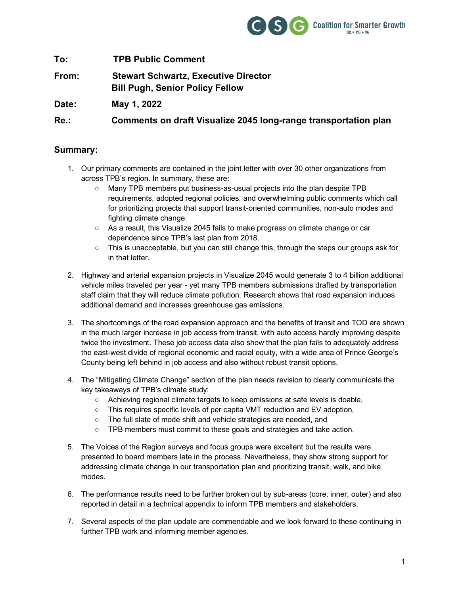

**To: TPB Public Comment From: Stewart Schwartz, Executive Director Bill Pugh, Senior Policy Fellow Date: May 1, 2022 Re.: Comments on draft Visualize 2045 long-range transportation plan**

#### **Summary:**

- 1. Our primary comments are contained in the joint letter with over 30 other organizations from across TPB's region. In summary, these are:
	- Many TPB members put business-as-usual projects into the plan despite TPB requirements, adopted regional policies, and overwhelming public comments which call for prioritizing projects that support transit-oriented communities, non-auto modes and fighting climate change.
	- As a result, this Visualize 2045 fails to make progress on climate change or car dependence since TPB's last plan from 2018.
	- This is unacceptable, but you can still change this, through the steps our groups ask for in that letter.
- 2. Highway and arterial expansion projects in Visualize 2045 would generate 3 to 4 billion additional vehicle miles traveled per year - yet many TPB members submissions drafted by transportation staff claim that they will reduce climate pollution. Research shows that road expansion induces additional demand and increases greenhouse gas emissions.
- 3. The shortcomings of the road expansion approach and the benefits of transit and TOD are shown in the much larger increase in job access from transit, with auto access hardly improving despite twice the investment. These job access data also show that the plan fails to adequately address the east-west divide of regional economic and racial equity, with a wide area of Prince George's County being left behind in job access and also without robust transit options.
- 4. The "Mitigating Climate Change" section of the plan needs revision to clearly communicate the key takeaways of TPB's climate study:
	- Achieving regional climate targets to keep emissions at safe levels is doable,
	- This requires specific levels of per capita VMT reduction and EV adoption,
	- The full slate of mode shift and vehicle strategies are needed, and
	- TPB members must commit to these goals and strategies and take action.
- 5. The Voices of the Region surveys and focus groups were excellent but the results were presented to board members late in the process. Nevertheless, they show strong support for addressing climate change in our transportation plan and prioritizing transit, walk, and bike modes.
- 6. The performance results need to be further broken out by sub-areas (core, inner, outer) and also reported in detail in a technical appendix to inform TPB members and stakeholders.
- 7. Several aspects of the plan update are commendable and we look forward to these continuing in further TPB work and informing member agencies.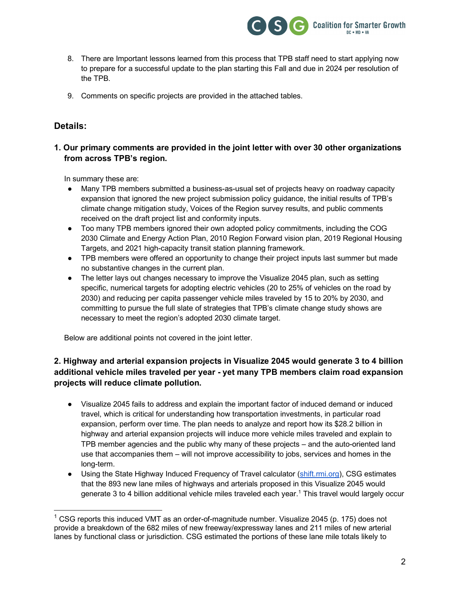

- 8. There are Important lessons learned from this process that TPB staff need to start applying now to prepare for a successful update to the plan starting this Fall and due in 2024 per resolution of the TPB.
- 9. Comments on specific projects are provided in the attached tables.

#### **Details:**

#### **1. Our primary comments are provided in the joint letter with over 30 other organizations from across TPB's region.**

In summary these are:

- Many TPB members submitted a business-as-usual set of projects heavy on roadway capacity expansion that ignored the new project submission policy guidance, the initial results of TPB's climate change mitigation study, Voices of the Region survey results, and public comments received on the draft project list and conformity inputs.
- Too many TPB members ignored their own adopted policy commitments, including the COG 2030 Climate and Energy Action Plan, 2010 Region Forward vision plan, 2019 Regional Housing Targets, and 2021 high-capacity transit station planning framework.
- TPB members were offered an opportunity to change their project inputs last summer but made no substantive changes in the current plan.
- The letter lays out changes necessary to improve the Visualize 2045 plan, such as setting specific, numerical targets for adopting electric vehicles (20 to 25% of vehicles on the road by 2030) and reducing per capita passenger vehicle miles traveled by 15 to 20% by 2030, and committing to pursue the full slate of strategies that TPB's climate change study shows are necessary to meet the region's adopted 2030 climate target.

Below are additional points not covered in the joint letter.

#### **2. Highway and arterial expansion projects in Visualize 2045 would generate 3 to 4 billion additional vehicle miles traveled per year - yet many TPB members claim road expansion projects will reduce climate pollution.**

- Visualize 2045 fails to address and explain the important factor of induced demand or induced travel, which is critical for understanding how transportation investments, in particular road expansion, perform over time. The plan needs to analyze and report how its \$28.2 billion in highway and arterial expansion projects will induce more vehicle miles traveled and explain to TPB member agencies and the public why many of these projects – and the auto-oriented land use that accompanies them – will not improve accessibility to jobs, services and homes in the long-term.
- Using the State Highway Induced Frequency of Travel calculator (shift.rmi.org), CSG estimates that the 893 new lane miles of highways and arterials proposed in this Visualize 2045 would generate 3 to 4 billion additional vehicle miles traveled each year.<sup>1</sup> This travel would largely occur

 $1$  CSG reports this induced VMT as an order-of-magnitude number. Visualize 2045 (p. 175) does not provide a breakdown of the 682 miles of new freeway/expressway lanes and 211 miles of new arterial lanes by functional class or jurisdiction. CSG estimated the portions of these lane mile totals likely to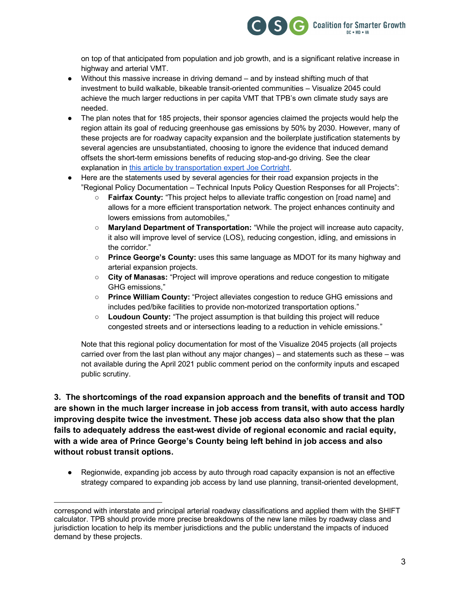

on top of that anticipated from population and job growth, and is a significant relative increase in highway and arterial VMT.

- Without this massive increase in driving demand and by instead shifting much of that investment to build walkable, bikeable transit-oriented communities – Visualize 2045 could achieve the much larger reductions in per capita VMT that TPB's own climate study says are needed.
- The plan notes that for 185 projects, their sponsor agencies claimed the projects would help the region attain its goal of reducing greenhouse gas emissions by 50% by 2030. However, many of these projects are for roadway capacity expansion and the boilerplate justification statements by several agencies are unsubstantiated, choosing to ignore the evidence that induced demand offsets the short-term emissions benefits of reducing stop-and-go driving. See the clear explanation in this article by transportation expert Joe Cortright.
- Here are the statements used by several agencies for their road expansion projects in the "Regional Policy Documentation – Technical Inputs Policy Question Responses for all Projects":
	- **Fairfax County:** "This project helps to alleviate traffic congestion on [road name] and allows for a more efficient transportation network. The project enhances continuity and lowers emissions from automobiles,"
	- **Maryland Department of Transportation:** "While the project will increase auto capacity, it also will improve level of service (LOS), reducing congestion, idling, and emissions in the corridor."
	- **Prince George's County:** uses this same language as MDOT for its many highway and arterial expansion projects.
	- **City of Manasas:** "Project will improve operations and reduce congestion to mitigate GHG emissions,"
	- **Prince William County:** "Project alleviates congestion to reduce GHG emissions and includes ped/bike facilities to provide non-motorized transportation options."
	- **Loudoun County:** "The project assumption is that building this project will reduce congested streets and or intersections leading to a reduction in vehicle emissions."

Note that this regional policy documentation for most of the Visualize 2045 projects (all projects carried over from the last plan without any major changes) – and statements such as these – was not available during the April 2021 public comment period on the conformity inputs and escaped public scrutiny.

**3. The shortcomings of the road expansion approach and the benefits of transit and TOD are shown in the much larger increase in job access from transit, with auto access hardly improving despite twice the investment. These job access data also show that the plan fails to adequately address the east-west divide of regional economic and racial equity, with a wide area of Prince George's County being left behind in job access and also without robust transit options.**

● Regionwide, expanding job access by auto through road capacity expansion is not an effective strategy compared to expanding job access by land use planning, transit-oriented development,

 $\overline{a}$ correspond with interstate and principal arterial roadway classifications and applied them with the SHIFT calculator. TPB should provide more precise breakdowns of the new lane miles by roadway class and jurisdiction location to help its member jurisdictions and the public understand the impacts of induced demand by these projects.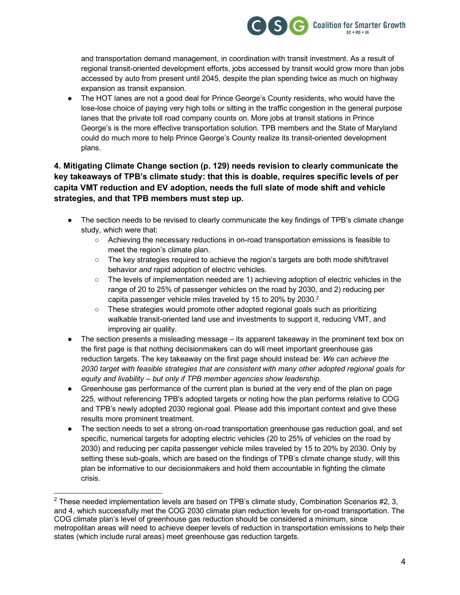

and transportation demand management, in coordination with transit investment. As a result of regional transit-oriented development efforts, jobs accessed by transit would grow more than jobs accessed by auto from present until 2045, despite the plan spending twice as much on highway expansion as transit expansion.

The HOT lanes are not a good deal for Prince George's County residents, who would have the lose-lose choice of paying very high tolls or sitting in the traffic congestion in the general purpose lanes that the private toll road company counts on. More jobs at transit stations in Prince George's is the more effective transportation solution. TPB members and the State of Maryland could do much more to help Prince George's County realize its transit-oriented development plans.

#### **4. Mitigating Climate Change section (p. 129) needs revision to clearly communicate the key takeaways of TPB's climate study: that this is doable, requires specific levels of per capita VMT reduction and EV adoption, needs the full slate of mode shift and vehicle strategies, and that TPB members must step up.**

- The section needs to be revised to clearly communicate the key findings of TPB's climate change study, which were that:
	- Achieving the necessary reductions in on-road transportation emissions is feasible to meet the region's climate plan.
	- The key strategies required to achieve the region's targets are both mode shift/travel behavior *and* rapid adoption of electric vehicles.
	- The levels of implementation needed are 1) achieving adoption of electric vehicles in the range of 20 to 25% of passenger vehicles on the road by 2030, and 2) reducing per capita passenger vehicle miles traveled by 15 to 20% by 2030.<sup>2</sup>
	- These strategies would promote other adopted regional goals such as prioritizing walkable transit-oriented land use and investments to support it, reducing VMT, and improving air quality.
- The section presents a misleading message  $-$  its apparent takeaway in the prominent text box on the first page is that nothing decisionmakers can do will meet important greenhouse gas reduction targets. The key takeaway on the first page should instead be: *We can achieve the 2030 target with feasible strategies that are consistent with many other adopted regional goals for equity and livability – but only if TPB member agencies show leadership.*
- Greenhouse gas performance of the current plan is buried at the very end of the plan on page 225, without referencing TPB's adopted targets or noting how the plan performs relative to COG and TPB's newly adopted 2030 regional goal. Please add this important context and give these results more prominent treatment.
- The section needs to set a strong on-road transportation greenhouse gas reduction goal, and set specific, numerical targets for adopting electric vehicles (20 to 25% of vehicles on the road by 2030) and reducing per capita passenger vehicle miles traveled by 15 to 20% by 2030. Only by setting these sub-goals, which are based on the findings of TPB's climate change study, will this plan be informative to our decisionmakers and hold them accountable in fighting the climate crisis.

 $2$  These needed implementation levels are based on TPB's climate study, Combination Scenarios #2, 3, and 4, which successfully met the COG 2030 climate plan reduction levels for on-road transportation. The COG climate plan's level of greenhouse gas reduction should be considered a minimum, since metropolitan areas will need to achieve deeper levels of reduction in transportation emissions to help their states (which include rural areas) meet greenhouse gas reduction targets.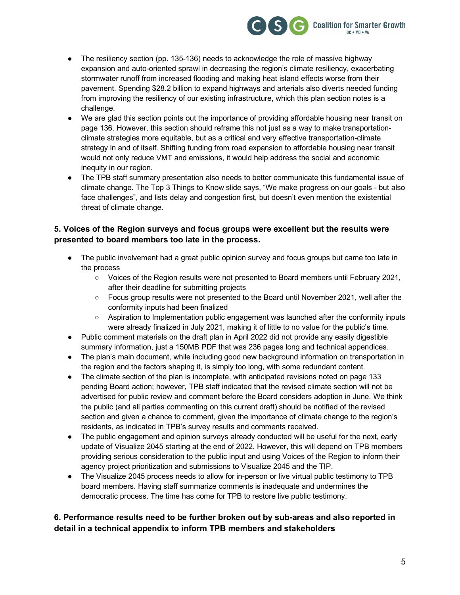

- The resiliency section (pp. 135-136) needs to acknowledge the role of massive highway expansion and auto-oriented sprawl in decreasing the region's climate resiliency, exacerbating stormwater runoff from increased flooding and making heat island effects worse from their pavement. Spending \$28.2 billion to expand highways and arterials also diverts needed funding from improving the resiliency of our existing infrastructure, which this plan section notes is a challenge.
- We are glad this section points out the importance of providing affordable housing near transit on page 136. However, this section should reframe this not just as a way to make transportationclimate strategies more equitable, but as a critical and very effective transportation-climate strategy in and of itself. Shifting funding from road expansion to affordable housing near transit would not only reduce VMT and emissions, it would help address the social and economic inequity in our region.
- The TPB staff summary presentation also needs to better communicate this fundamental issue of climate change. The Top 3 Things to Know slide says, "We make progress on our goals - but also face challenges", and lists delay and congestion first, but doesn't even mention the existential threat of climate change.

#### **5. Voices of the Region surveys and focus groups were excellent but the results were presented to board members too late in the process.**

- The public involvement had a great public opinion survey and focus groups but came too late in the process
	- Voices of the Region results were not presented to Board members until February 2021, after their deadline for submitting projects
	- Focus group results were not presented to the Board until November 2021, well after the conformity inputs had been finalized
	- Aspiration to Implementation public engagement was launched after the conformity inputs were already finalized in July 2021, making it of little to no value for the public's time.
- Public comment materials on the draft plan in April 2022 did not provide any easily digestible summary information, just a 150MB PDF that was 236 pages long and technical appendices.
- The plan's main document, while including good new background information on transportation in the region and the factors shaping it, is simply too long, with some redundant content.
- The climate section of the plan is incomplete, with anticipated revisions noted on page 133 pending Board action; however, TPB staff indicated that the revised climate section will not be advertised for public review and comment before the Board considers adoption in June. We think the public (and all parties commenting on this current draft) should be notified of the revised section and given a chance to comment, given the importance of climate change to the region's residents, as indicated in TPB's survey results and comments received.
- The public engagement and opinion surveys already conducted will be useful for the next, early update of Visualize 2045 starting at the end of 2022. However, this will depend on TPB members providing serious consideration to the public input and using Voices of the Region to inform their agency project prioritization and submissions to Visualize 2045 and the TIP.
- The Visualize 2045 process needs to allow for in-person or live virtual public testimony to TPB board members. Having staff summarize comments is inadequate and undermines the democratic process. The time has come for TPB to restore live public testimony.

#### **6. Performance results need to be further broken out by sub-areas and also reported in detail in a technical appendix to inform TPB members and stakeholders**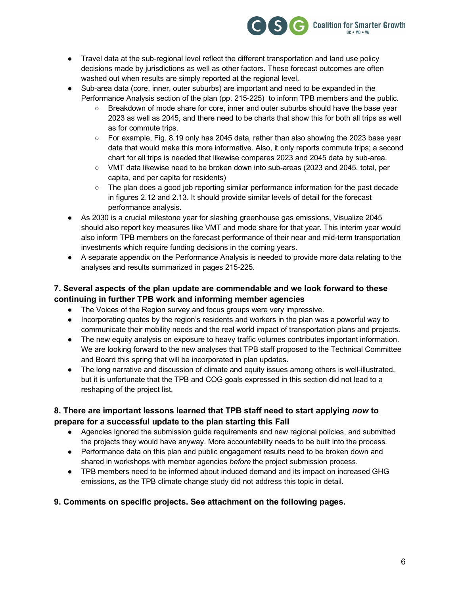

- Travel data at the sub-regional level reflect the different transportation and land use policy decisions made by jurisdictions as well as other factors. These forecast outcomes are often washed out when results are simply reported at the regional level.
- Sub-area data (core, inner, outer suburbs) are important and need to be expanded in the Performance Analysis section of the plan (pp. 215-225) to inform TPB members and the public.
	- Breakdown of mode share for core, inner and outer suburbs should have the base year 2023 as well as 2045, and there need to be charts that show this for both all trips as well as for commute trips.
	- For example, Fig. 8.19 only has 2045 data, rather than also showing the 2023 base year data that would make this more informative. Also, it only reports commute trips; a second chart for all trips is needed that likewise compares 2023 and 2045 data by sub-area.
	- VMT data likewise need to be broken down into sub-areas (2023 and 2045, total, per capita, and per capita for residents)
	- The plan does a good job reporting similar performance information for the past decade in figures 2.12 and 2.13. It should provide similar levels of detail for the forecast performance analysis.
- As 2030 is a crucial milestone year for slashing greenhouse gas emissions, Visualize 2045 should also report key measures like VMT and mode share for that year. This interim year would also inform TPB members on the forecast performance of their near and mid-term transportation investments which require funding decisions in the coming years.
- A separate appendix on the Performance Analysis is needed to provide more data relating to the analyses and results summarized in pages 215-225.

#### **7. Several aspects of the plan update are commendable and we look forward to these continuing in further TPB work and informing member agencies**

- The Voices of the Region survey and focus groups were very impressive.
- Incorporating quotes by the region's residents and workers in the plan was a powerful way to communicate their mobility needs and the real world impact of transportation plans and projects.
- The new equity analysis on exposure to heavy traffic volumes contributes important information. We are looking forward to the new analyses that TPB staff proposed to the Technical Committee and Board this spring that will be incorporated in plan updates.
- The long narrative and discussion of climate and equity issues among others is well-illustrated, but it is unfortunate that the TPB and COG goals expressed in this section did not lead to a reshaping of the project list.

#### **8. There are important lessons learned that TPB staff need to start applying** *now* **to prepare for a successful update to the plan starting this Fall**

- Agencies ignored the submission guide requirements and new regional policies, and submitted the projects they would have anyway. More accountability needs to be built into the process.
- Performance data on this plan and public engagement results need to be broken down and shared in workshops with member agencies *before* the project submission process.
- TPB members need to be informed about induced demand and its impact on increased GHG emissions, as the TPB climate change study did not address this topic in detail.

#### **9. Comments on specific projects. See attachment on the following pages.**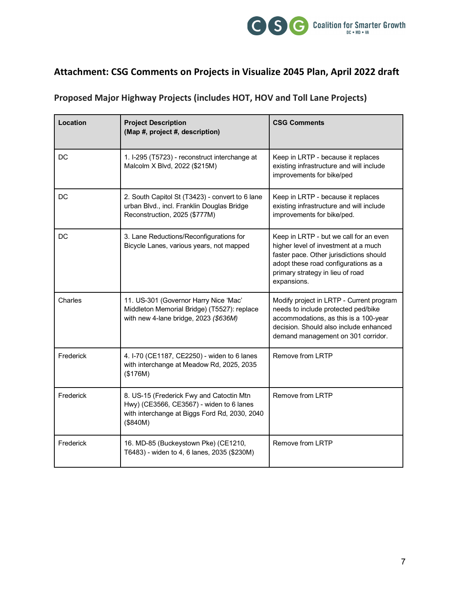

# **Attachment: CSG Comments on Projects in Visualize 2045 Plan, April 2022 draft**

## **Proposed Major Highway Projects (includes HOT, HOV and Toll Lane Projects)**

| Location  | <b>Project Description</b><br>(Map #, project #, description)                                                                                     | <b>CSG Comments</b>                                                                                                                                                                                                  |
|-----------|---------------------------------------------------------------------------------------------------------------------------------------------------|----------------------------------------------------------------------------------------------------------------------------------------------------------------------------------------------------------------------|
| DC.       | 1. I-295 (T5723) - reconstruct interchange at<br>Malcolm X Blvd, 2022 (\$215M)                                                                    | Keep in LRTP - because it replaces<br>existing infrastructure and will include<br>improvements for bike/ped                                                                                                          |
| DC        | 2. South Capitol St (T3423) - convert to 6 lane<br>urban Blvd., incl. Franklin Douglas Bridge<br>Reconstruction, 2025 (\$777M)                    | Keep in LRTP - because it replaces<br>existing infrastructure and will include<br>improvements for bike/ped.                                                                                                         |
| DC        | 3. Lane Reductions/Reconfigurations for<br>Bicycle Lanes, various years, not mapped                                                               | Keep in LRTP - but we call for an even<br>higher level of investment at a much<br>faster pace. Other jurisdictions should<br>adopt these road configurations as a<br>primary strategy in lieu of road<br>expansions. |
| Charles   | 11. US-301 (Governor Harry Nice 'Mac'<br>Middleton Memorial Bridge) (T5527): replace<br>with new 4-lane bridge, 2023 (\$636M)                     | Modify project in LRTP - Current program<br>needs to include protected ped/bike<br>accommodations, as this is a 100-year<br>decision. Should also include enhanced<br>demand management on 301 corridor.             |
| Frederick | 4. I-70 (CE1187, CE2250) - widen to 6 lanes<br>with interchange at Meadow Rd, 2025, 2035<br>(\$176M)                                              | Remove from LRTP                                                                                                                                                                                                     |
| Frederick | 8. US-15 (Frederick Fwy and Catoctin Mtn<br>Hwy) (CE3566, CE3567) - widen to 6 lanes<br>with interchange at Biggs Ford Rd, 2030, 2040<br>(\$840M) | Remove from LRTP                                                                                                                                                                                                     |
| Frederick | 16. MD-85 (Buckeystown Pke) (CE1210,<br>T6483) - widen to 4, 6 lanes, 2035 (\$230M)                                                               | Remove from LRTP                                                                                                                                                                                                     |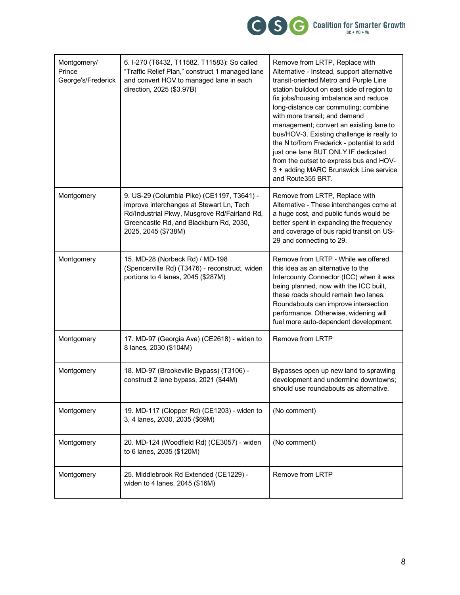

| Montgomery/<br>Prince<br>George's/Frederick | 6. I-270 (T6432, T11582, T11583): So called<br>"Traffic Relief Plan," construct 1 managed lane<br>and convert HOV to managed lane in each<br>direction, 2025 (\$3.97B)                                   | Remove from LRTP, Replace with<br>Alternative - Instead, support alternative<br>transit-oriented Metro and Purple Line<br>station buildout on east side of region to<br>fix jobs/housing imbalance and reduce<br>long-distance car commuting; combine<br>with more transit; and demand<br>management; convert an existing lane to<br>bus/HOV-3. Existing challenge is really to<br>the N to/from Frederick - potential to add<br>just one lane BUT ONLY IF dedicated<br>from the outset to express bus and HOV-<br>3 + adding MARC Brunswick Line service<br>and Route355 BRT. |
|---------------------------------------------|----------------------------------------------------------------------------------------------------------------------------------------------------------------------------------------------------------|--------------------------------------------------------------------------------------------------------------------------------------------------------------------------------------------------------------------------------------------------------------------------------------------------------------------------------------------------------------------------------------------------------------------------------------------------------------------------------------------------------------------------------------------------------------------------------|
| Montgomery                                  | 9. US-29 (Columbia Pike) (CE1197, T3641) -<br>improve interchanges at Stewart Ln, Tech<br>Rd/Industrial Pkwy, Musgrove Rd/Fairland Rd,<br>Greencastle Rd, and Blackburn Rd, 2030,<br>2025, 2045 (\$738M) | Remove from LRTP, Replace with<br>Alternative - These interchanges come at<br>a huge cost, and public funds would be<br>better spent in expanding the frequency<br>and coverage of bus rapid transit on US-<br>29 and connecting to 29.                                                                                                                                                                                                                                                                                                                                        |
| Montgomery                                  | 15. MD-28 (Norbeck Rd) / MD-198<br>(Spencerville Rd) (T3476) - reconstruct, widen<br>portions to 4 lanes, 2045 (\$287M)                                                                                  | Remove from LRTP - While we offered<br>this idea as an alternative to the<br>Intercounty Connector (ICC) when it was<br>being planned, now with the ICC built,<br>these roads should remain two lanes.<br>Roundabouts can improve intersection<br>performance. Otherwise, widening will<br>fuel more auto-dependent development.                                                                                                                                                                                                                                               |
| Montgomery                                  | 17. MD-97 (Georgia Ave) (CE2618) - widen to<br>8 lanes, 2030 (\$104M)                                                                                                                                    | Remove from LRTP                                                                                                                                                                                                                                                                                                                                                                                                                                                                                                                                                               |
| Montgomery                                  | 18. MD-97 (Brookeville Bypass) (T3106) -<br>construct 2 lane bypass, 2021 (\$44M)                                                                                                                        | Bypasses open up new land to sprawling<br>development and undermine downtowns;<br>should use roundabouts as alternative.                                                                                                                                                                                                                                                                                                                                                                                                                                                       |
| Montgomery                                  | 19. MD-117 (Clopper Rd) (CE1203) - widen to<br>3, 4 lanes, 2030, 2035 (\$69M)                                                                                                                            | (No comment)                                                                                                                                                                                                                                                                                                                                                                                                                                                                                                                                                                   |
| Montgomery                                  | 20. MD-124 (Woodfield Rd) (CE3057) - widen<br>to 6 lanes, 2035 (\$120M)                                                                                                                                  | (No comment)                                                                                                                                                                                                                                                                                                                                                                                                                                                                                                                                                                   |
| Montgomery                                  | 25. Middlebrook Rd Extended (CE1229) -<br>widen to 4 lanes, 2045 (\$16M)                                                                                                                                 | Remove from LRTP                                                                                                                                                                                                                                                                                                                                                                                                                                                                                                                                                               |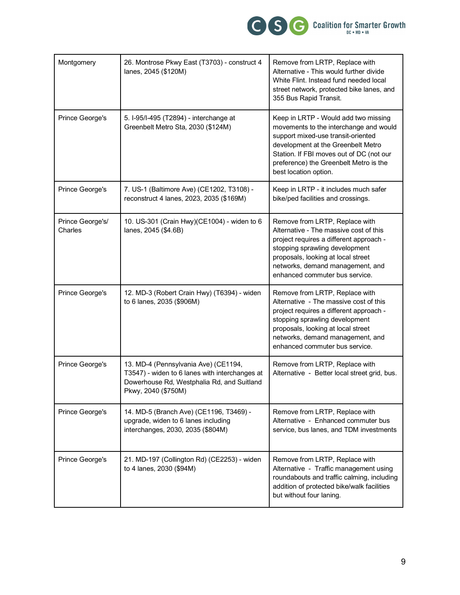

| Montgomery                  | 26. Montrose Pkwy East (T3703) - construct 4<br>lanes, 2045 (\$120M)                                                                                        | Remove from LRTP, Replace with<br>Alternative - This would further divide<br>White Flint. Instead fund needed local<br>street network, protected bike lanes, and<br>355 Bus Rapid Transit.                                                                                |
|-----------------------------|-------------------------------------------------------------------------------------------------------------------------------------------------------------|---------------------------------------------------------------------------------------------------------------------------------------------------------------------------------------------------------------------------------------------------------------------------|
| Prince George's             | 5. I-95/I-495 (T2894) - interchange at<br>Greenbelt Metro Sta, 2030 (\$124M)                                                                                | Keep in LRTP - Would add two missing<br>movements to the interchange and would<br>support mixed-use transit-oriented<br>development at the Greenbelt Metro<br>Station. If FBI moves out of DC (not our<br>preference) the Greenbelt Metro is the<br>best location option. |
| Prince George's             | 7. US-1 (Baltimore Ave) (CE1202, T3108) -<br>reconstruct 4 lanes, 2023, 2035 (\$169M)                                                                       | Keep in LRTP - it includes much safer<br>bike/ped facilities and crossings.                                                                                                                                                                                               |
| Prince George's/<br>Charles | 10. US-301 (Crain Hwy)(CE1004) - widen to 6<br>lanes, 2045 (\$4.6B)                                                                                         | Remove from LRTP, Replace with<br>Alternative - The massive cost of this<br>project requires a different approach -<br>stopping sprawling development<br>proposals, looking at local street<br>networks, demand management, and<br>enhanced commuter bus service.         |
| Prince George's             | 12. MD-3 (Robert Crain Hwy) (T6394) - widen<br>to 6 lanes, 2035 (\$906M)                                                                                    | Remove from LRTP, Replace with<br>Alternative - The massive cost of this<br>project requires a different approach -<br>stopping sprawling development<br>proposals, looking at local street<br>networks, demand management, and<br>enhanced commuter bus service.         |
| Prince George's             | 13. MD-4 (Pennsylvania Ave) (CE1194,<br>T3547) - widen to 6 lanes with interchanges at<br>Dowerhouse Rd, Westphalia Rd, and Suitland<br>Pkwy, 2040 (\$750M) | Remove from LRTP, Replace with<br>Alternative - Better local street grid, bus.                                                                                                                                                                                            |
| Prince George's             | 14. MD-5 (Branch Ave) (CE1196, T3469) -<br>upgrade, widen to 6 lanes including<br>interchanges, 2030, 2035 (\$804M)                                         | Remove from LRTP, Replace with<br>Alternative - Enhanced commuter bus<br>service, bus lanes, and TDM investments                                                                                                                                                          |
| Prince George's             | 21. MD-197 (Collington Rd) (CE2253) - widen<br>to 4 lanes, 2030 (\$94M)                                                                                     | Remove from LRTP, Replace with<br>Alternative - Traffic management using<br>roundabouts and traffic calming, including<br>addition of protected bike/walk facilities<br>but without four laning.                                                                          |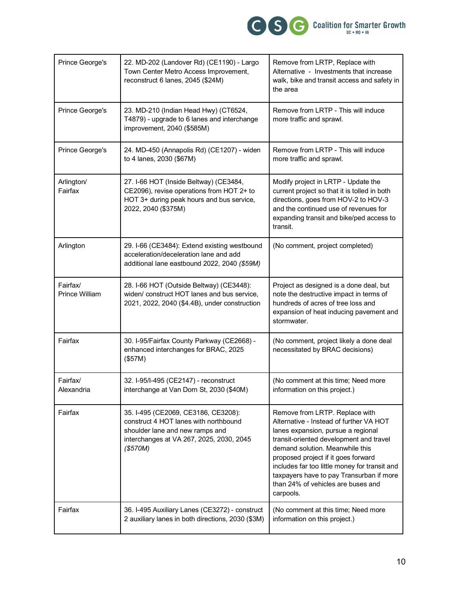

| Prince George's            | 22. MD-202 (Landover Rd) (CE1190) - Largo<br>Town Center Metro Access Improvement,<br>reconstruct 6 lanes, 2045 (\$24M)                                                 | Remove from LRTP, Replace with<br>Alternative - Investments that increase<br>walk, bike and transit access and safety in<br>the area                                                                                                                                                                                                                                                 |
|----------------------------|-------------------------------------------------------------------------------------------------------------------------------------------------------------------------|--------------------------------------------------------------------------------------------------------------------------------------------------------------------------------------------------------------------------------------------------------------------------------------------------------------------------------------------------------------------------------------|
| Prince George's            | 23. MD-210 (Indian Head Hwy) (CT6524,<br>T4879) - upgrade to 6 lanes and interchange<br>improvement, 2040 (\$585M)                                                      | Remove from LRTP - This will induce<br>more traffic and sprawl.                                                                                                                                                                                                                                                                                                                      |
| Prince George's            | 24. MD-450 (Annapolis Rd) (CE1207) - widen<br>to 4 lanes, 2030 (\$67M)                                                                                                  | Remove from LRTP - This will induce<br>more traffic and sprawl.                                                                                                                                                                                                                                                                                                                      |
| Arlington/<br>Fairfax      | 27. I-66 HOT (Inside Beltway) (CE3484,<br>CE2096), revise operations from HOT 2+ to<br>HOT 3+ during peak hours and bus service,<br>2022, 2040 (\$375M)                 | Modify project in LRTP - Update the<br>current project so that it is tolled in both<br>directions, goes from HOV-2 to HOV-3<br>and the continued use of revenues for<br>expanding transit and bike/ped access to<br>transit.                                                                                                                                                         |
| Arlington                  | 29. I-66 (CE3484): Extend existing westbound<br>acceleration/deceleration lane and add<br>additional lane eastbound 2022, 2040 (\$59M)                                  | (No comment, project completed)                                                                                                                                                                                                                                                                                                                                                      |
| Fairfax/<br>Prince William | 28. I-66 HOT (Outside Beltway) (CE3448):<br>widen/ construct HOT lanes and bus service,<br>2021, 2022, 2040 (\$4.4B), under construction                                | Project as designed is a done deal, but<br>note the destructive impact in terms of<br>hundreds of acres of tree loss and<br>expansion of heat inducing pavement and<br>stormwater.                                                                                                                                                                                                   |
| Fairfax                    | 30. I-95/Fairfax County Parkway (CE2668) -<br>enhanced interchanges for BRAC, 2025<br>(\$57M)                                                                           | (No comment, project likely a done deal<br>necessitated by BRAC decisions)                                                                                                                                                                                                                                                                                                           |
| Fairfax/<br>Alexandria     | 32. I-95/I-495 (CE2147) - reconstruct<br>interchange at Van Dorn St, 2030 (\$40M)                                                                                       | (No comment at this time; Need more<br>information on this project.)                                                                                                                                                                                                                                                                                                                 |
| Fairfax                    | 35. I-495 (CE2069, CE3186, CE3208):<br>construct 4 HOT lanes with northbound<br>shoulder lane and new ramps and<br>interchanges at VA 267, 2025, 2030, 2045<br>(\$570M) | Remove from LRTP. Replace with<br>Alternative - Instead of further VA HOT<br>lanes expansion, pursue a regional<br>transit-oriented development and travel<br>demand solution. Meanwhile this<br>proposed project if it goes forward<br>includes far too little money for transit and<br>taxpayers have to pay Transurban if more<br>than 24% of vehicles are buses and<br>carpools. |
| Fairfax                    | 36. I-495 Auxiliary Lanes (CE3272) - construct<br>2 auxiliary lanes in both directions, 2030 (\$3M)                                                                     | (No comment at this time; Need more<br>information on this project.)                                                                                                                                                                                                                                                                                                                 |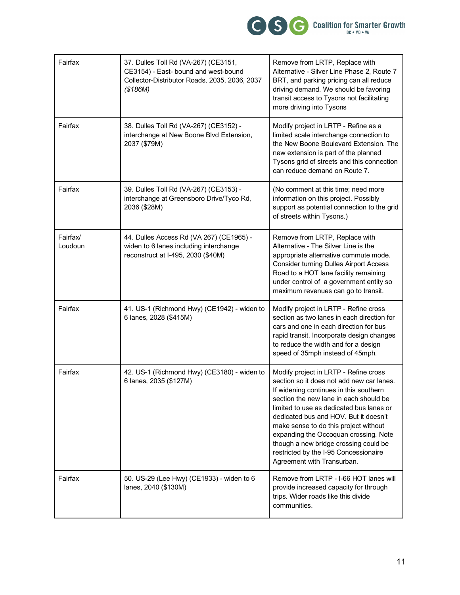

| Fairfax             | 37. Dulles Toll Rd (VA-267) (CE3151,<br>CE3154) - East- bound and west-bound<br>Collector-Distributor Roads, 2035, 2036, 2037<br>(\$186M) | Remove from LRTP, Replace with<br>Alternative - Silver Line Phase 2, Route 7<br>BRT, and parking pricing can all reduce<br>driving demand. We should be favoring<br>transit access to Tysons not facilitating<br>more driving into Tysons                                                                                                                                                                                                                     |
|---------------------|-------------------------------------------------------------------------------------------------------------------------------------------|---------------------------------------------------------------------------------------------------------------------------------------------------------------------------------------------------------------------------------------------------------------------------------------------------------------------------------------------------------------------------------------------------------------------------------------------------------------|
| Fairfax             | 38. Dulles Toll Rd (VA-267) (CE3152) -<br>interchange at New Boone Blvd Extension,<br>2037 (\$79M)                                        | Modify project in LRTP - Refine as a<br>limited scale interchange connection to<br>the New Boone Boulevard Extension. The<br>new extension is part of the planned<br>Tysons grid of streets and this connection<br>can reduce demand on Route 7.                                                                                                                                                                                                              |
| Fairfax             | 39. Dulles Toll Rd (VA-267) (CE3153) -<br>interchange at Greensboro Drive/Tyco Rd,<br>2036 (\$28M)                                        | (No comment at this time; need more<br>information on this project. Possibly<br>support as potential connection to the grid<br>of streets within Tysons.)                                                                                                                                                                                                                                                                                                     |
| Fairfax/<br>Loudoun | 44. Dulles Access Rd (VA 267) (CE1965) -<br>widen to 6 lanes including interchange<br>reconstruct at I-495, 2030 (\$40M)                  | Remove from LRTP, Replace with<br>Alternative - The Silver Line is the<br>appropriate alternative commute mode.<br><b>Consider turning Dulles Airport Access</b><br>Road to a HOT lane facility remaining<br>under control of a government entity so<br>maximum revenues can go to transit.                                                                                                                                                                   |
| Fairfax             | 41. US-1 (Richmond Hwy) (CE1942) - widen to<br>6 lanes, 2028 (\$415M)                                                                     | Modify project in LRTP - Refine cross<br>section as two lanes in each direction for<br>cars and one in each direction for bus<br>rapid transit. Incorporate design changes<br>to reduce the width and for a design<br>speed of 35mph instead of 45mph.                                                                                                                                                                                                        |
| Fairfax             | 42. US-1 (Richmond Hwy) (CE3180) - widen to<br>6 lanes, 2035 (\$127M)                                                                     | Modify project in LRTP - Refine cross<br>section so it does not add new car lanes.<br>If widening continues in this southern<br>section the new lane in each should be<br>limited to use as dedicated bus lanes or<br>dedicated bus and HOV. But it doesn't<br>make sense to do this project without<br>expanding the Occoquan crossing. Note<br>though a new bridge crossing could be<br>restricted by the I-95 Concessionaire<br>Agreement with Transurban. |
| Fairfax             | 50. US-29 (Lee Hwy) (CE1933) - widen to 6<br>lanes, 2040 (\$130M)                                                                         | Remove from LRTP - I-66 HOT lanes will<br>provide increased capacity for through<br>trips. Wider roads like this divide<br>communities.                                                                                                                                                                                                                                                                                                                       |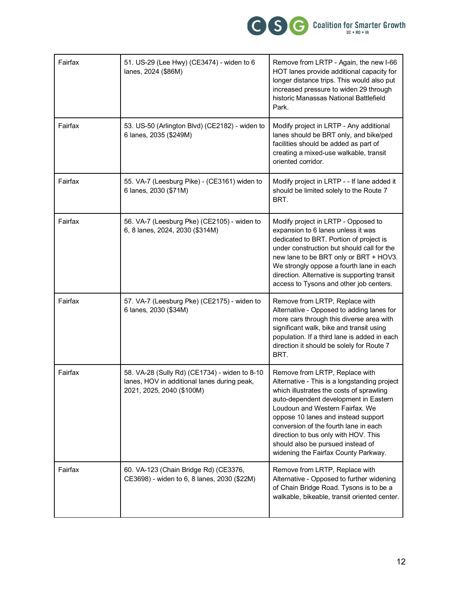

| Fairfax | 51. US-29 (Lee Hwy) (CE3474) - widen to 6<br>lanes, 2024 (\$86M)                                                          | Remove from LRTP - Again, the new I-66<br>HOT lanes provide additional capacity for<br>longer distance trips. This would also put<br>increased pressure to widen 29 through<br>historic Manassas National Battlefield<br>Park.                                                                                                                                                                              |
|---------|---------------------------------------------------------------------------------------------------------------------------|-------------------------------------------------------------------------------------------------------------------------------------------------------------------------------------------------------------------------------------------------------------------------------------------------------------------------------------------------------------------------------------------------------------|
| Fairfax | 53. US-50 (Arlington Blvd) (CE2182) - widen to<br>6 lanes, 2035 (\$249M)                                                  | Modify project in LRTP - Any additional<br>lanes should be BRT only, and bike/ped<br>facilities should be added as part of<br>creating a mixed-use walkable, transit<br>oriented corridor.                                                                                                                                                                                                                  |
| Fairfax | 55. VA-7 (Leesburg Pike) - (CE3161) widen to<br>6 lanes, 2030 (\$71M)                                                     | Modify project in LRTP - - If lane added it<br>should be limited solely to the Route 7<br>BRT.                                                                                                                                                                                                                                                                                                              |
| Fairfax | 56. VA-7 (Leesburg Pke) (CE2105) - widen to<br>6, 8 lanes, 2024, 2030 (\$314M)                                            | Modify project in LRTP - Opposed to<br>expansion to 6 lanes unless it was<br>dedicated to BRT. Portion of project is<br>under construction but should call for the<br>new lane to be BRT only or BRT + HOV3.<br>We strongly oppose a fourth lane in each<br>direction. Alternative is supporting transit<br>access to Tysons and other job centers.                                                         |
| Fairfax | 57. VA-7 (Leesburg Pke) (CE2175) - widen to<br>6 lanes, 2030 (\$34M)                                                      | Remove from LRTP, Replace with<br>Alternative - Opposed to adding lanes for<br>more cars through this diverse area with<br>significant walk, bike and transit using<br>population. If a third lane is added in each<br>direction it should be solely for Route 7<br>BRT.                                                                                                                                    |
| Fairfax | 58. VA-28 (Sully Rd) (CE1734) - widen to 8-10<br>lanes, HOV in additional lanes during peak,<br>2021, 2025, 2040 (\$100M) | Remove from LRTP, Replace with<br>Alternative - This is a longstanding project<br>which illustrates the costs of sprawling<br>auto-dependent development in Eastern<br>Loudoun and Western Fairfax. We<br>oppose 10 lanes and instead support<br>conversion of the fourth lane in each<br>direction to bus only with HOV. This<br>should also be pursued instead of<br>widening the Fairfax County Parkway. |
| Fairfax | 60. VA-123 (Chain Bridge Rd) (CE3376,<br>CE3698) - widen to 6, 8 lanes, 2030 (\$22M)                                      | Remove from LRTP, Replace with<br>Alternative - Opposed to further widening<br>of Chain Bridge Road. Tysons is to be a<br>walkable, bikeable, transit oriented center.                                                                                                                                                                                                                                      |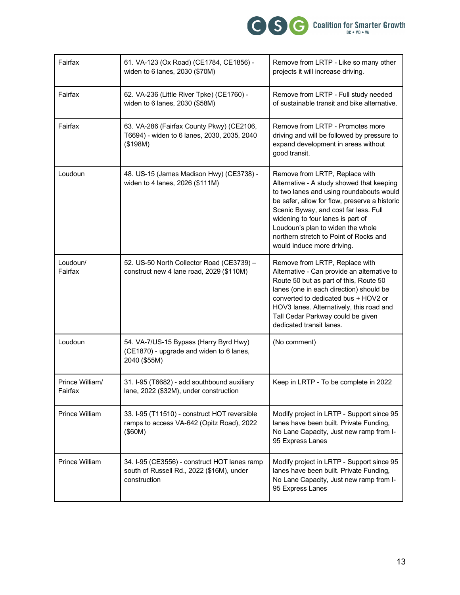

| Fairfax                    | 61. VA-123 (Ox Road) (CE1784, CE1856) -<br>widen to 6 lanes, 2030 (\$70M)                                 | Remove from LRTP - Like so many other<br>projects it will increase driving.                                                                                                                                                                                                                                                                                         |
|----------------------------|-----------------------------------------------------------------------------------------------------------|---------------------------------------------------------------------------------------------------------------------------------------------------------------------------------------------------------------------------------------------------------------------------------------------------------------------------------------------------------------------|
| Fairfax                    | 62. VA-236 (Little River Tpke) (CE1760) -<br>widen to 6 lanes, 2030 (\$58M)                               | Remove from LRTP - Full study needed<br>of sustainable transit and bike alternative.                                                                                                                                                                                                                                                                                |
| Fairfax                    | 63. VA-286 (Fairfax County Pkwy) (CE2106,<br>T6694) - widen to 6 lanes, 2030, 2035, 2040<br>(\$198M)      | Remove from LRTP - Promotes more<br>driving and will be followed by pressure to<br>expand development in areas without<br>good transit.                                                                                                                                                                                                                             |
| Loudoun                    | 48. US-15 (James Madison Hwy) (CE3738) -<br>widen to 4 lanes, 2026 (\$111M)                               | Remove from LRTP, Replace with<br>Alternative - A study showed that keeping<br>to two lanes and using roundabouts would<br>be safer, allow for flow, preserve a historic<br>Scenic Byway, and cost far less. Full<br>widening to four lanes is part of<br>Loudoun's plan to widen the whole<br>northern stretch to Point of Rocks and<br>would induce more driving. |
| Loudoun/<br>Fairfax        | 52. US-50 North Collector Road (CE3739) -<br>construct new 4 lane road, 2029 (\$110M)                     | Remove from LRTP, Replace with<br>Alternative - Can provide an alternative to<br>Route 50 but as part of this, Route 50<br>lanes (one in each direction) should be<br>converted to dedicated bus + HOV2 or<br>HOV3 lanes. Alternatively, this road and<br>Tall Cedar Parkway could be given<br>dedicated transit lanes.                                             |
| Loudoun                    | 54. VA-7/US-15 Bypass (Harry Byrd Hwy)<br>(CE1870) - upgrade and widen to 6 lanes,<br>2040 (\$55M)        | (No comment)                                                                                                                                                                                                                                                                                                                                                        |
| Prince William/<br>Fairfax | 31. I-95 (T6682) - add southbound auxiliary<br>lane, 2022 (\$32M), under construction                     | Keep in LRTP - To be complete in 2022                                                                                                                                                                                                                                                                                                                               |
| Prince William             | 33. I-95 (T11510) - construct HOT reversible<br>ramps to access VA-642 (Opitz Road), 2022<br>(\$60M)      | Modify project in LRTP - Support since 95<br>lanes have been built. Private Funding,<br>No Lane Capacity, Just new ramp from I-<br>95 Express Lanes                                                                                                                                                                                                                 |
| Prince William             | 34. I-95 (CE3556) - construct HOT lanes ramp<br>south of Russell Rd., 2022 (\$16M), under<br>construction | Modify project in LRTP - Support since 95<br>lanes have been built. Private Funding,<br>No Lane Capacity, Just new ramp from I-<br>95 Express Lanes                                                                                                                                                                                                                 |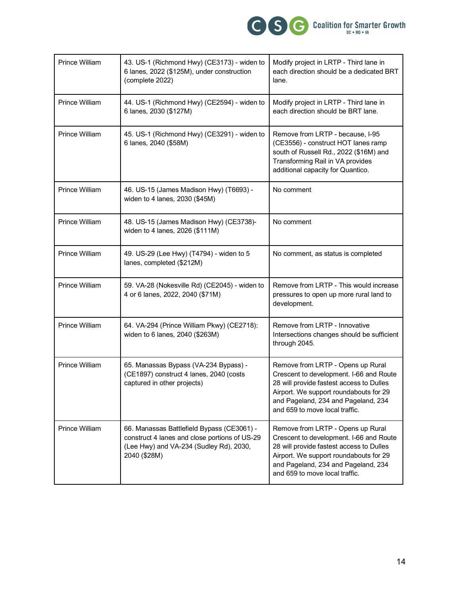

| Prince William | 43. US-1 (Richmond Hwy) (CE3173) - widen to<br>6 lanes, 2022 (\$125M), under construction<br>(complete 2022)                                           | Modify project in LRTP - Third lane in<br>each direction should be a dedicated BRT<br>lane.                                                                                                                                                 |
|----------------|--------------------------------------------------------------------------------------------------------------------------------------------------------|---------------------------------------------------------------------------------------------------------------------------------------------------------------------------------------------------------------------------------------------|
| Prince William | 44. US-1 (Richmond Hwy) (CE2594) - widen to<br>6 lanes, 2030 (\$127M)                                                                                  | Modify project in LRTP - Third lane in<br>each direction should be BRT lane.                                                                                                                                                                |
| Prince William | 45. US-1 (Richmond Hwy) (CE3291) - widen to<br>6 lanes, 2040 (\$58M)                                                                                   | Remove from LRTP - because, I-95<br>(CE3556) - construct HOT lanes ramp<br>south of Russell Rd., 2022 (\$16M) and<br>Transforming Rail in VA provides<br>additional capacity for Quantico.                                                  |
| Prince William | 46. US-15 (James Madison Hwy) (T6693) -<br>widen to 4 lanes, 2030 (\$45M)                                                                              | No comment                                                                                                                                                                                                                                  |
| Prince William | 48. US-15 (James Madison Hwy) (CE3738)-<br>widen to 4 lanes, 2026 (\$111M)                                                                             | No comment                                                                                                                                                                                                                                  |
| Prince William | 49. US-29 (Lee Hwy) (T4794) - widen to 5<br>lanes, completed (\$212M)                                                                                  | No comment, as status is completed                                                                                                                                                                                                          |
| Prince William | 59. VA-28 (Nokesville Rd) (CE2045) - widen to<br>4 or 6 lanes, 2022, 2040 (\$71M)                                                                      | Remove from LRTP - This would increase<br>pressures to open up more rural land to<br>development.                                                                                                                                           |
| Prince William | 64. VA-294 (Prince William Pkwy) (CE2718):<br>widen to 6 lanes, 2040 (\$263M)                                                                          | Remove from LRTP - Innovative<br>Intersections changes should be sufficient<br>through 2045.                                                                                                                                                |
| Prince William | 65. Manassas Bypass (VA-234 Bypass) -<br>(CE1897) construct 4 lanes, 2040 (costs<br>captured in other projects)                                        | Remove from LRTP - Opens up Rural<br>Crescent to development. I-66 and Route<br>28 will provide fastest access to Dulles<br>Airport. We support roundabouts for 29<br>and Pageland, 234 and Pageland, 234<br>and 659 to move local traffic. |
| Prince William | 66. Manassas Battlefield Bypass (CE3061) -<br>construct 4 lanes and close portions of US-29<br>(Lee Hwy) and VA-234 (Sudley Rd), 2030,<br>2040 (\$28M) | Remove from LRTP - Opens up Rural<br>Crescent to development. I-66 and Route<br>28 will provide fastest access to Dulles<br>Airport. We support roundabouts for 29<br>and Pageland, 234 and Pageland, 234<br>and 659 to move local traffic. |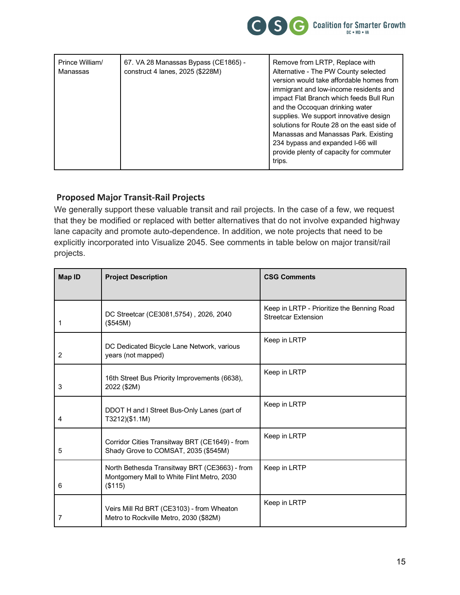

| Prince William/<br>Manassas | 67. VA 28 Manassas Bypass (CE1865) -<br>construct 4 lanes, 2025 (\$228M) | Remove from LRTP, Replace with<br>Alternative - The PW County selected<br>version would take affordable homes from<br>immigrant and low-income residents and<br>impact Flat Branch which feeds Bull Run<br>and the Occoquan drinking water<br>supplies. We support innovative design<br>solutions for Route 28 on the east side of<br>Manassas and Manassas Park. Existing<br>234 bypass and expanded I-66 will<br>provide plenty of capacity for commuter<br>trips. |
|-----------------------------|--------------------------------------------------------------------------|----------------------------------------------------------------------------------------------------------------------------------------------------------------------------------------------------------------------------------------------------------------------------------------------------------------------------------------------------------------------------------------------------------------------------------------------------------------------|
|-----------------------------|--------------------------------------------------------------------------|----------------------------------------------------------------------------------------------------------------------------------------------------------------------------------------------------------------------------------------------------------------------------------------------------------------------------------------------------------------------------------------------------------------------------------------------------------------------|

### **Proposed Major Transit-Rail Projects**

We generally support these valuable transit and rail projects. In the case of a few, we request that they be modified or replaced with better alternatives that do not involve expanded highway lane capacity and promote auto-dependence. In addition, we note projects that need to be explicitly incorporated into Visualize 2045. See comments in table below on major transit/rail projects.

| Map ID | <b>Project Description</b>                                                                             | <b>CSG Comments</b>                                                      |
|--------|--------------------------------------------------------------------------------------------------------|--------------------------------------------------------------------------|
|        |                                                                                                        |                                                                          |
| 1      | DC Streetcar (CE3081,5754), 2026, 2040<br>(\$545M)                                                     | Keep in LRTP - Prioritize the Benning Road<br><b>Streetcar Extension</b> |
| 2      | DC Dedicated Bicycle Lane Network, various<br>years (not mapped)                                       | Keep in LRTP                                                             |
| 3      | 16th Street Bus Priority Improvements (6638),<br>2022 (\$2M)                                           | Keep in LRTP                                                             |
| 4      | DDOT H and I Street Bus-Only Lanes (part of<br>T3212)(\$1.1M)                                          | Keep in LRTP                                                             |
| 5      | Corridor Cities Transitway BRT (CE1649) - from<br>Shady Grove to COMSAT, 2035 (\$545M)                 | Keep in LRTP                                                             |
| 6      | North Bethesda Transitway BRT (CE3663) - from<br>Montgomery Mall to White Flint Metro, 2030<br>(\$115) | Keep in LRTP                                                             |
| 7      | Veirs Mill Rd BRT (CE3103) - from Wheaton<br>Metro to Rockville Metro, 2030 (\$82M)                    | Keep in LRTP                                                             |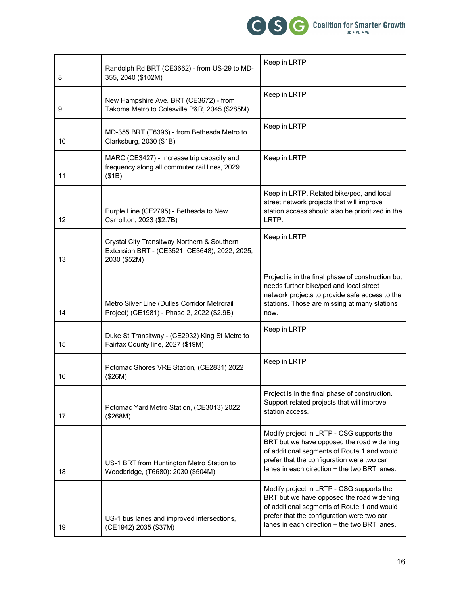

| 8  | Randolph Rd BRT (CE3662) - from US-29 to MD-<br>355, 2040 (\$102M)                                           | Keep in LRTP                                                                                                                                                                                                                        |
|----|--------------------------------------------------------------------------------------------------------------|-------------------------------------------------------------------------------------------------------------------------------------------------------------------------------------------------------------------------------------|
| 9  | New Hampshire Ave. BRT (CE3672) - from<br>Takoma Metro to Colesville P&R, 2045 (\$285M)                      | Keep in LRTP                                                                                                                                                                                                                        |
| 10 | MD-355 BRT (T6396) - from Bethesda Metro to<br>Clarksburg, 2030 (\$1B)                                       | Keep in LRTP                                                                                                                                                                                                                        |
| 11 | MARC (CE3427) - Increase trip capacity and<br>frequency along all commuter rail lines, 2029<br>(\$1B)        | Keep in LRTP                                                                                                                                                                                                                        |
| 12 | Purple Line (CE2795) - Bethesda to New<br>Carrollton, 2023 (\$2.7B)                                          | Keep in LRTP. Related bike/ped, and local<br>street network projects that will improve<br>station access should also be prioritized in the<br>LRTP.                                                                                 |
| 13 | Crystal City Transitway Northern & Southern<br>Extension BRT - (CE3521, CE3648), 2022, 2025,<br>2030 (\$52M) | Keep in LRTP                                                                                                                                                                                                                        |
| 14 | Metro Silver Line (Dulles Corridor Metrorail<br>Project) (CE1981) - Phase 2, 2022 (\$2.9B)                   | Project is in the final phase of construction but<br>needs further bike/ped and local street<br>network projects to provide safe access to the<br>stations. Those are missing at many stations<br>now.                              |
| 15 | Duke St Transitway - (CE2932) King St Metro to<br>Fairfax County line, 2027 (\$19M)                          | Keep in LRTP                                                                                                                                                                                                                        |
| 16 | Potomac Shores VRE Station, (CE2831) 2022<br>(\$26M)                                                         | Keep in LRTP                                                                                                                                                                                                                        |
| 17 | Potomac Yard Metro Station, (CE3013) 2022<br>(\$268M)                                                        | Project is in the final phase of construction.<br>Support related projects that will improve<br>station access.                                                                                                                     |
| 18 | US-1 BRT from Huntington Metro Station to<br>Woodbridge, (T6680): 2030 (\$504M)                              | Modify project in LRTP - CSG supports the<br>BRT but we have opposed the road widening<br>of additional segments of Route 1 and would<br>prefer that the configuration were two car<br>lanes in each direction + the two BRT lanes. |
| 19 | US-1 bus lanes and improved intersections,<br>(CE1942) 2035 (\$37M)                                          | Modify project in LRTP - CSG supports the<br>BRT but we have opposed the road widening<br>of additional segments of Route 1 and would<br>prefer that the configuration were two car<br>lanes in each direction + the two BRT lanes. |